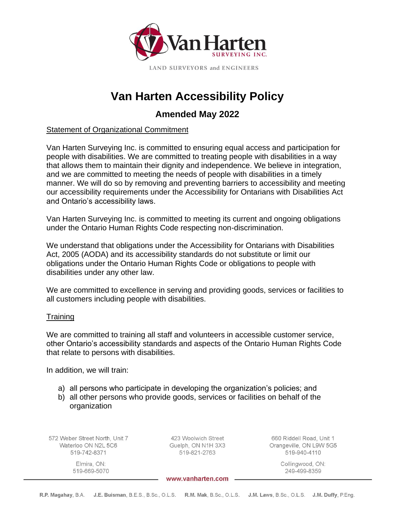

# **Van Harten Accessibility Policy**

# **Amended May 2022**

# Statement of Organizational Commitment

Van Harten Surveying Inc. is committed to ensuring equal access and participation for people with disabilities. We are committed to treating people with disabilities in a way that allows them to maintain their dignity and independence. We believe in integration, and we are committed to meeting the needs of people with disabilities in a timely manner. We will do so by removing and preventing barriers to accessibility and meeting our accessibility requirements under the Accessibility for Ontarians with Disabilities Act and Ontario's accessibility laws.

Van Harten Surveying Inc. is committed to meeting its current and ongoing obligations under the Ontario Human Rights Code respecting non-discrimination.

We understand that obligations under the Accessibility for Ontarians with Disabilities Act, 2005 (AODA) and its accessibility standards do not substitute or limit our obligations under the Ontario Human Rights Code or obligations to people with disabilities under any other law.

We are committed to excellence in serving and providing goods, services or facilities to all customers including people with disabilities.

# **Training**

We are committed to training all staff and volunteers in accessible customer service, other Ontario's accessibility standards and aspects of the Ontario Human Rights Code that relate to persons with disabilities.

In addition, we will train:

- a) all persons who participate in developing the organization's policies; and
- b) all other persons who provide goods, services or facilities on behalf of the organization

572 Weber Street North, Unit 7 Waterloo ON N2L 5C6 519-742-8371

423 Woolwich Street Guelph, ON N1H 3X3 519-821-2763

660 Riddell Road, Unit 1 Orangeville, ON L9W 5G5 519-940-4110

Collingwood, ON:

249-499-8359

Elmira, ON: 519-669-5070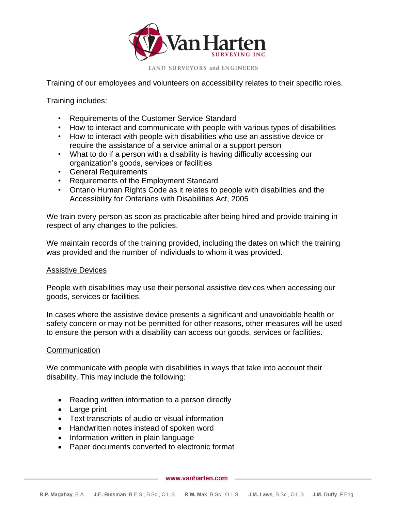

Training of our employees and volunteers on accessibility relates to their specific roles.

Training includes:

- Requirements of the Customer Service Standard
- How to interact and communicate with people with various types of disabilities
- How to interact with people with disabilities who use an assistive device or require the assistance of a service animal or a support person
- What to do if a person with a disability is having difficulty accessing our organization's goods, services or facilities
- General Requirements
- Requirements of the Employment Standard
- Ontario Human Rights Code as it relates to people with disabilities and the Accessibility for Ontarians with Disabilities Act, 2005

We train every person as soon as practicable after being hired and provide training in respect of any changes to the policies.

We maintain records of the training provided, including the dates on which the training was provided and the number of individuals to whom it was provided.

#### Assistive Devices

People with disabilities may use their personal assistive devices when accessing our goods, services or facilities.

In cases where the assistive device presents a significant and unavoidable health or safety concern or may not be permitted for other reasons, other measures will be used to ensure the person with a disability can access our goods, services or facilities.

#### **Communication**

We communicate with people with disabilities in ways that take into account their disability. This may include the following:

- Reading written information to a person directly
- Large print
- Text transcripts of audio or visual information
- Handwritten notes instead of spoken word
- Information written in plain language
- Paper documents converted to electronic format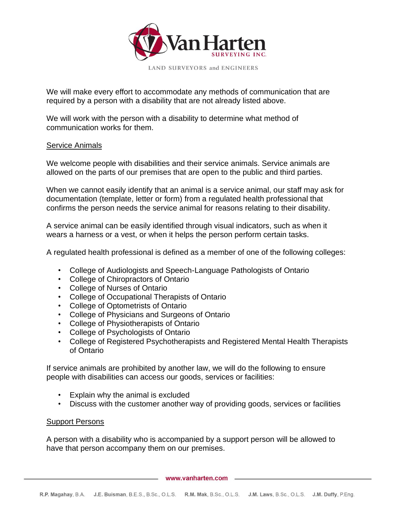

We will make every effort to accommodate any methods of communication that are required by a person with a disability that are not already listed above.

We will work with the person with a disability to determine what method of communication works for them.

#### Service Animals

We welcome people with disabilities and their service animals. Service animals are allowed on the parts of our premises that are open to the public and third parties.

When we cannot easily identify that an animal is a service animal, our staff may ask for documentation (template, letter or form) from a regulated health professional that confirms the person needs the service animal for reasons relating to their disability.

A service animal can be easily identified through visual indicators, such as when it wears a harness or a vest, or when it helps the person perform certain tasks.

A regulated health professional is defined as a member of one of the following colleges:

- College of Audiologists and Speech-Language Pathologists of Ontario
- College of Chiropractors of Ontario
- College of Nurses of Ontario
- College of Occupational Therapists of Ontario
- College of Optometrists of Ontario
- College of Physicians and Surgeons of Ontario
- College of Physiotherapists of Ontario
- College of Psychologists of Ontario
- College of Registered Psychotherapists and Registered Mental Health Therapists of Ontario

If service animals are prohibited by another law, we will do the following to ensure people with disabilities can access our goods, services or facilities:

- Explain why the animal is excluded
- Discuss with the customer another way of providing goods, services or facilities

#### Support Persons

A person with a disability who is accompanied by a support person will be allowed to have that person accompany them on our premises.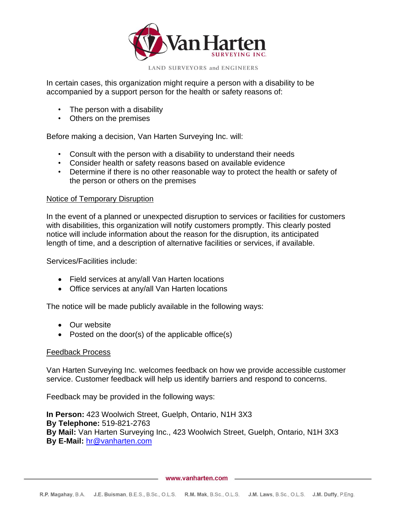

LAND SURVEYORS and ENGINEERS

In certain cases, this organization might require a person with a disability to be accompanied by a support person for the health or safety reasons of:

- The person with a disability
- Others on the premises

Before making a decision, Van Harten Surveying Inc. will:

- Consult with the person with a disability to understand their needs
- Consider health or safety reasons based on available evidence
- Determine if there is no other reasonable way to protect the health or safety of the person or others on the premises

#### Notice of Temporary Disruption

In the event of a planned or unexpected disruption to services or facilities for customers with disabilities, this organization will notify customers promptly. This clearly posted notice will include information about the reason for the disruption, its anticipated length of time, and a description of alternative facilities or services, if available.

Services/Facilities include:

- Field services at any/all Van Harten locations
- Office services at any/all Van Harten locations

The notice will be made publicly available in the following ways:

- Our website
- Posted on the door(s) of the applicable office(s)

#### Feedback Process

Van Harten Surveying Inc. welcomes feedback on how we provide accessible customer service. Customer feedback will help us identify barriers and respond to concerns.

Feedback may be provided in the following ways:

**In Person:** 423 Woolwich Street, Guelph, Ontario, N1H 3X3 **By Telephone:** 519-821-2763 **By Mail:** Van Harten Surveying Inc., 423 Woolwich Street, Guelph, Ontario, N1H 3X3 **By E-Mail:** [hr@vanharten.com](mailto:hr@vanharten.com)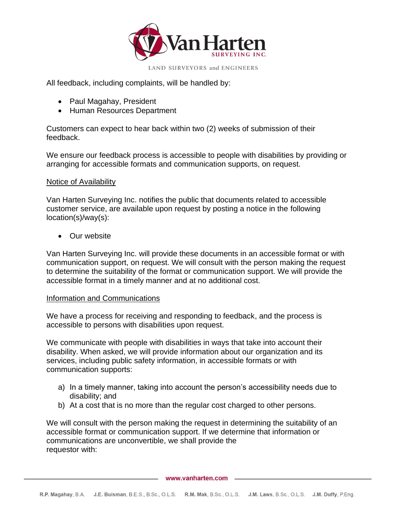

All feedback, including complaints, will be handled by:

- Paul Magahay, President
- Human Resources Department

Customers can expect to hear back within two (2) weeks of submission of their feedback.

We ensure our feedback process is accessible to people with disabilities by providing or arranging for accessible formats and communication supports, on request.

#### Notice of Availability

Van Harten Surveying Inc. notifies the public that documents related to accessible customer service, are available upon request by posting a notice in the following location(s)/way(s):

• Our website

Van Harten Surveying Inc. will provide these documents in an accessible format or with communication support, on request. We will consult with the person making the request to determine the suitability of the format or communication support. We will provide the accessible format in a timely manner and at no additional cost.

#### Information and Communications

We have a process for receiving and responding to feedback, and the process is accessible to persons with disabilities upon request.

We communicate with people with disabilities in ways that take into account their disability. When asked, we will provide information about our organization and its services, including public safety information, in accessible formats or with communication supports:

- a) In a timely manner, taking into account the person's accessibility needs due to disability; and
- b) At a cost that is no more than the regular cost charged to other persons.

We will consult with the person making the request in determining the suitability of an accessible format or communication support. If we determine that information or communications are unconvertible, we shall provide the requestor with: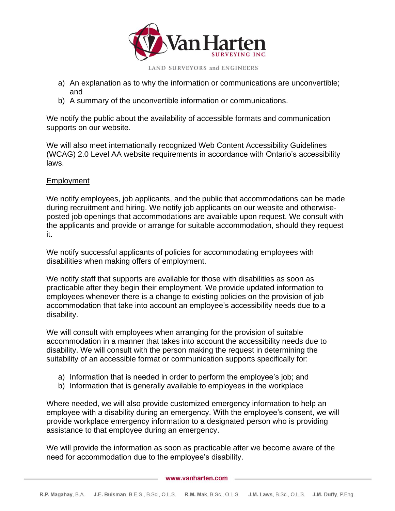

LAND SURVEYORS and ENGINEERS

- a) An explanation as to why the information or communications are unconvertible; and
- b) A summary of the unconvertible information or communications.

We notify the public about the availability of accessible formats and communication supports on our website.

We will also meet internationally recognized Web Content Accessibility Guidelines (WCAG) 2.0 Level AA website requirements in accordance with Ontario's accessibility laws.

# Employment

We notify employees, job applicants, and the public that accommodations can be made during recruitment and hiring. We notify job applicants on our website and otherwiseposted job openings that accommodations are available upon request. We consult with the applicants and provide or arrange for suitable accommodation, should they request it.

We notify successful applicants of policies for accommodating employees with disabilities when making offers of employment.

We notify staff that supports are available for those with disabilities as soon as practicable after they begin their employment. We provide updated information to employees whenever there is a change to existing policies on the provision of job accommodation that take into account an employee's accessibility needs due to a disability.

We will consult with employees when arranging for the provision of suitable accommodation in a manner that takes into account the accessibility needs due to disability. We will consult with the person making the request in determining the suitability of an accessible format or communication supports specifically for:

- a) Information that is needed in order to perform the employee's job; and
- b) Information that is generally available to employees in the workplace

Where needed, we will also provide customized emergency information to help an employee with a disability during an emergency. With the employee's consent, we will provide workplace emergency information to a designated person who is providing assistance to that employee during an emergency.

We will provide the information as soon as practicable after we become aware of the need for accommodation due to the employee's disability.